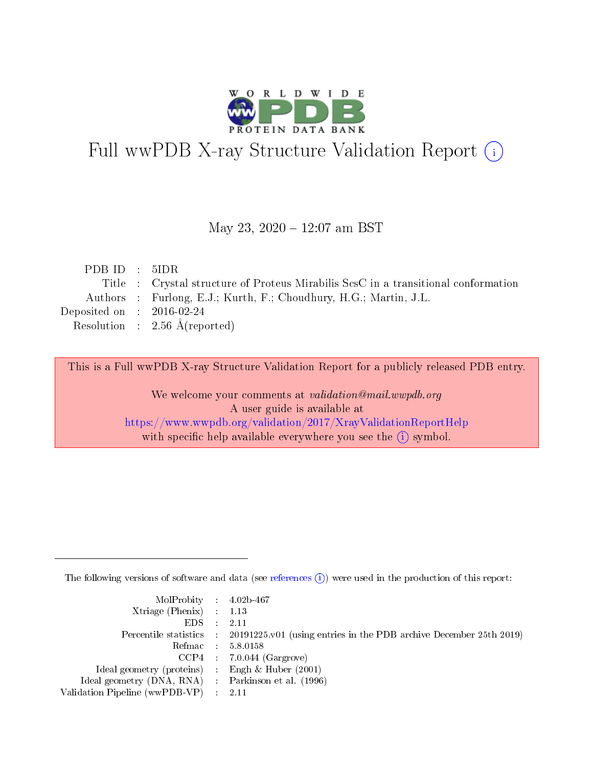

# Full wwPDB X-ray Structure Validation Report (i)

#### May 23, 2020 - 12:07 am BST

| PDBID : 5IDR                |                                                                                    |
|-----------------------------|------------------------------------------------------------------------------------|
|                             | Title : Crystal structure of Proteus Mirabilis ScsC in a transitional conformation |
|                             | Authors : Furlong, E.J.; Kurth, F.; Choudhury, H.G.; Martin, J.L.                  |
| Deposited on : $2016-02-24$ |                                                                                    |
|                             | Resolution : $2.56 \text{ Å}$ (reported)                                           |
|                             |                                                                                    |

This is a Full wwPDB X-ray Structure Validation Report for a publicly released PDB entry.

We welcome your comments at validation@mail.wwpdb.org A user guide is available at <https://www.wwpdb.org/validation/2017/XrayValidationReportHelp> with specific help available everywhere you see the  $(i)$  symbol.

The following versions of software and data (see [references](https://www.wwpdb.org/validation/2017/XrayValidationReportHelp#references)  $(i)$ ) were used in the production of this report:

| $MolProbability$ 4.02b-467                          |                                                                                            |
|-----------------------------------------------------|--------------------------------------------------------------------------------------------|
| Xtriage (Phenix) $: 1.13$                           |                                                                                            |
| $EDS$ :                                             | -2.11                                                                                      |
|                                                     | Percentile statistics : 20191225.v01 (using entries in the PDB archive December 25th 2019) |
|                                                     | Refmac : 5.8.0158                                                                          |
|                                                     | $CCP4$ : 7.0.044 (Gargrove)                                                                |
| Ideal geometry (proteins) : Engh $\&$ Huber (2001)  |                                                                                            |
| Ideal geometry (DNA, RNA) : Parkinson et al. (1996) |                                                                                            |
| Validation Pipeline (wwPDB-VP)                      | -2.11                                                                                      |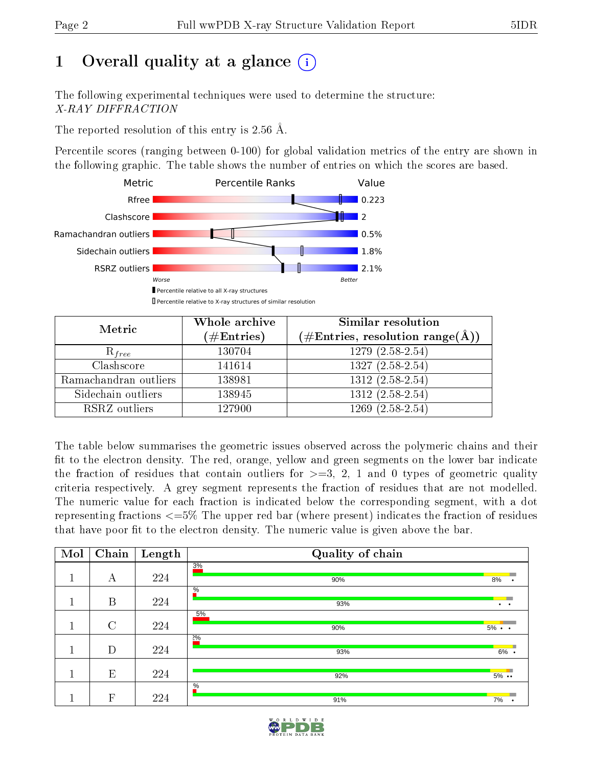# 1 [O](https://www.wwpdb.org/validation/2017/XrayValidationReportHelp#overall_quality)verall quality at a glance  $(i)$

The following experimental techniques were used to determine the structure: X-RAY DIFFRACTION

The reported resolution of this entry is 2.56 Å.

Percentile scores (ranging between 0-100) for global validation metrics of the entry are shown in the following graphic. The table shows the number of entries on which the scores are based.



| Metric                | Whole archive<br>$(\#\text{Entries})$ | <b>Similar resolution</b><br>$(\#\text{Entries},\,\text{resolution}\,\,\text{range}(\textup{\AA}))$ |
|-----------------------|---------------------------------------|-----------------------------------------------------------------------------------------------------|
| $R_{free}$            | 130704                                | $1279(2.58-2.54)$                                                                                   |
| Clashscore            | 141614                                | $1327(2.58-2.54)$                                                                                   |
| Ramachandran outliers | 138981                                | $1312 (2.58 - 2.54)$                                                                                |
| Sidechain outliers    | 138945                                | $1312(2.58-2.54)$                                                                                   |
| RSRZ outliers         | 127900                                | $1269(2.58-2.54)$                                                                                   |

The table below summarises the geometric issues observed across the polymeric chains and their fit to the electron density. The red, orange, yellow and green segments on the lower bar indicate the fraction of residues that contain outliers for  $>=3, 2, 1$  and 0 types of geometric quality criteria respectively. A grey segment represents the fraction of residues that are not modelled. The numeric value for each fraction is indicated below the corresponding segment, with a dot representing fractions  $\epsilon=5\%$  The upper red bar (where present) indicates the fraction of residues that have poor fit to the electron density. The numeric value is given above the bar.

| Mol                                     | Chain         | Length | Quality of chain     |                   |
|-----------------------------------------|---------------|--------|----------------------|-------------------|
| 1                                       | А             | 224    | 3%                   |                   |
| $\mathbf{\mathbf{\mathbf{\mathbf{1}}}}$ |               |        | 90%                  | 8%                |
| 1                                       | B             | 224    | $\frac{0}{6}$<br>93% |                   |
|                                         |               |        | 5%                   |                   |
| 1                                       | $\mathcal{C}$ | 224    | 90%                  | $5\% \cdot \cdot$ |
|                                         |               |        | $2\%$                |                   |
| $\mathbf{I}$<br>a l                     | D             | 224    | 93%                  | 6%                |
|                                         |               |        |                      |                   |
|                                         | E             | 224    | 92%                  | $5\%$             |
|                                         |               |        | $\frac{0}{6}$        |                   |
|                                         | $\mathbf{F}$  | 224    | 91%                  | 7%                |

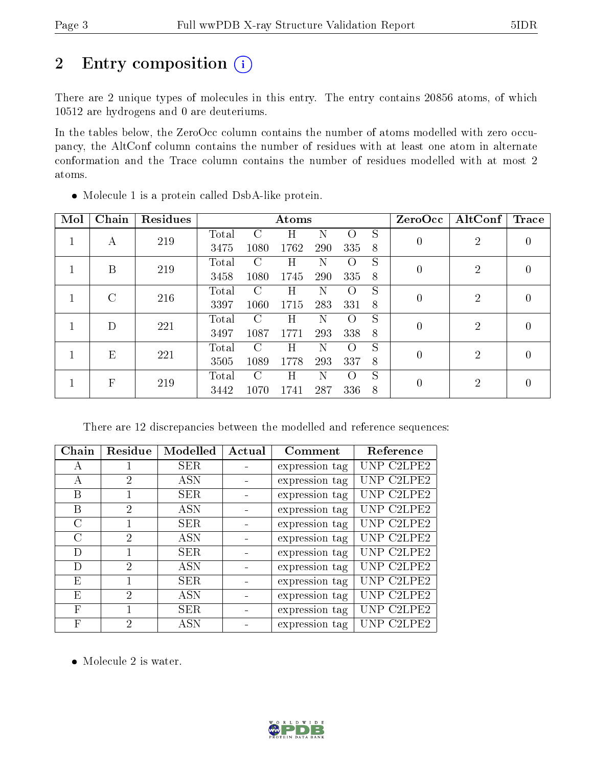# 2 Entry composition (i)

There are 2 unique types of molecules in this entry. The entry contains 20856 atoms, of which 10512 are hydrogens and 0 are deuteriums.

In the tables below, the ZeroOcc column contains the number of atoms modelled with zero occupancy, the AltConf column contains the number of residues with at least one atom in alternate conformation and the Trace column contains the number of residues modelled with at most 2 atoms.

| Mol          | Chain        | Residues |       | Atoms         |      |     |                  |   | ZeroOcc  | AltConf        | <b>Trace</b> |
|--------------|--------------|----------|-------|---------------|------|-----|------------------|---|----------|----------------|--------------|
| 1            | А            | 219      | Total | $\mathcal{C}$ | H    | N   | $\left( \right)$ | S | $\theta$ | $\overline{2}$ |              |
|              |              |          | 3475  | 1080          | 1762 | 290 | 335              | 8 |          |                | 0            |
| $\mathbf{1}$ | B            | 219      | Total | $\mathcal{C}$ | Η    | Ν   | $\left( \right)$ | S | $\Omega$ | $\overline{2}$ |              |
|              |              |          | 3458  | 1080          | 1745 | 290 | 335              | 8 |          |                | 0            |
|              | $\rm C$      | 216      | Total | C             | Η    | N   | $\left( \right)$ | S | $\theta$ | $\overline{2}$ | 0            |
|              |              |          | 3397  | 1060          | 1715 | 283 | 331              | 8 |          |                |              |
|              | D            | 221      | Total | $\mathcal{C}$ | Η    | N   | $\left( \right)$ | S |          | $\overline{2}$ | 0            |
|              |              |          | 3497  | 1087          | 1771 | 293 | 338              | 8 |          |                |              |
|              | E            | 221      | Total | C             | Η    | Ν   | $\left( \right)$ | S | $\Omega$ | $\overline{2}$ | 0            |
|              |              |          | 3505  | 1089          | 1778 | 293 | 337              | 8 |          |                |              |
|              | $\mathbf{F}$ |          | Total | $\mathcal{C}$ | H    | N   | $\Omega$         | S |          | $\overline{2}$ | 0            |
|              |              | 219      | 3442  | 1070          | 1741 | 287 | 336              | 8 |          |                |              |

Molecule 1 is a protein called DsbA-like protein.

There are 12 discrepancies between the modelled and reference sequences:

| Chain         | Residue                     | Modelled   | Actual | Comment        | Reference  |
|---------------|-----------------------------|------------|--------|----------------|------------|
| А             |                             | SER.       |        | expression tag | UNP C2LPE2 |
| А             | 2                           | <b>ASN</b> |        | expression tag | UNP C2LPE2 |
| В             |                             | SER.       |        | expression tag | UNP C2LPE2 |
| В             | 2                           | <b>ASN</b> |        | expression tag | UNP C2LPE2 |
| $\bigcap$     | 1                           | SER.       |        | expression tag | UNP C2LPE2 |
| $\mathcal{C}$ | $\mathcal{D}_{\mathcal{L}}$ | <b>ASN</b> |        | expression tag | UNP C2LPE2 |
| D             | 1                           | SER.       |        | expression tag | UNP C2LPE2 |
| D             | $\mathfrak{D}$              | <b>ASN</b> |        | expression tag | UNP C2LPE2 |
| Ε             | 1                           | SER.       |        | expression tag | UNP C2LPE2 |
| E             | 2                           | <b>ASN</b> |        | expression tag | UNP C2LPE2 |
| $\mathbf{F}$  | 1                           | SER.       |        | expression tag | UNP C2LPE2 |
| F             | 2                           | ASN        |        | expression tag | UNP C2LPE2 |

• Molecule 2 is water.

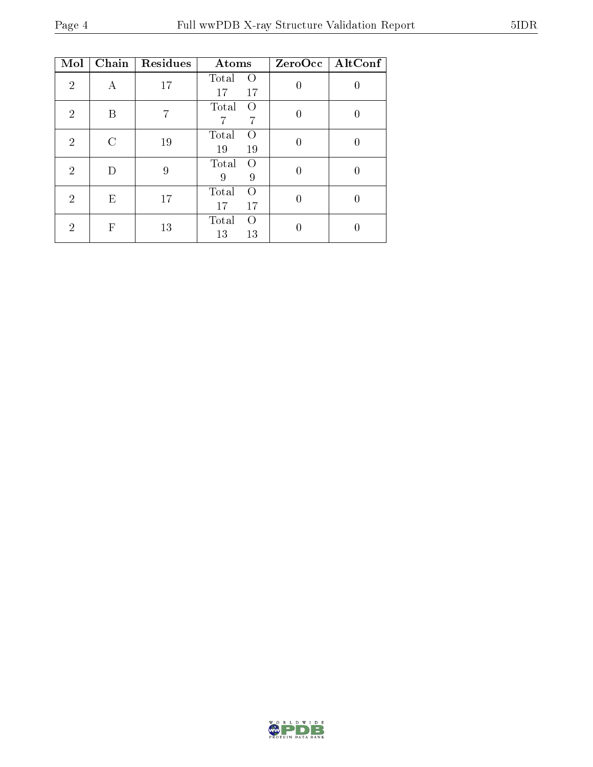| Mol            | Chain | Residues | Atoms                                 |   | $ZeroOcc$   AltConf |
|----------------|-------|----------|---------------------------------------|---|---------------------|
| $\overline{2}$ | А     | 17       | Total<br>$\left( \right)$<br>17<br>17 |   |                     |
| $\overline{2}$ | B     |          | Total<br>O<br>7<br>7                  | 0 | 0                   |
| $\overline{2}$ | C     | 19       | Total<br>$\left( \right)$<br>19<br>19 |   |                     |
| $\mathfrak{D}$ | D     | 9        | Total<br>$\left($<br>9<br>9           |   |                     |
| $\overline{2}$ | Ε     | 17       | Total<br>$\Omega$<br>17<br>17         |   |                     |
| 2              | F     | 13       | Total<br>$\left($<br>13<br>13         |   |                     |

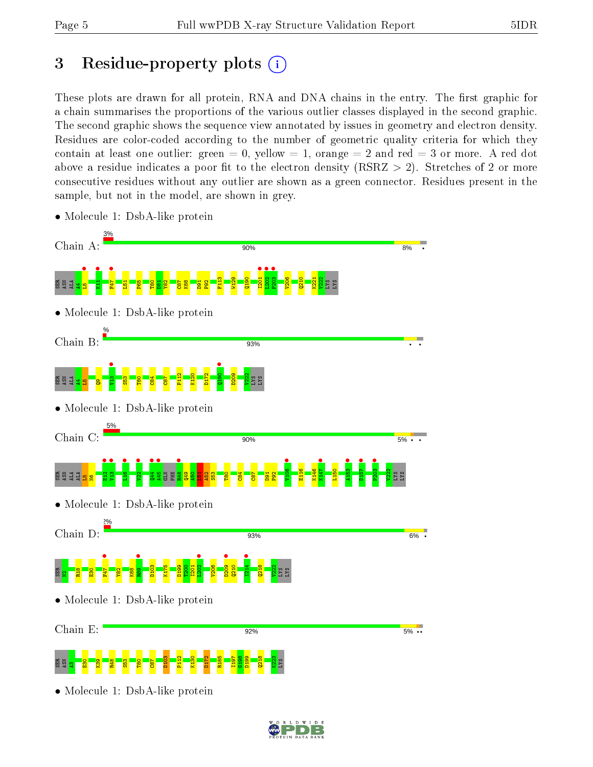## 3 Residue-property plots  $(i)$

These plots are drawn for all protein, RNA and DNA chains in the entry. The first graphic for a chain summarises the proportions of the various outlier classes displayed in the second graphic. The second graphic shows the sequence view annotated by issues in geometry and electron density. Residues are color-coded according to the number of geometric quality criteria for which they contain at least one outlier: green  $= 0$ , yellow  $= 1$ , orange  $= 2$  and red  $= 3$  or more. A red dot above a residue indicates a poor fit to the electron density (RSRZ  $> 2$ ). Stretches of 2 or more consecutive residues without any outlier are shown as a green connector. Residues present in the sample, but not in the model, are shown in grey.



• Molecule 1: DsbA-like protein

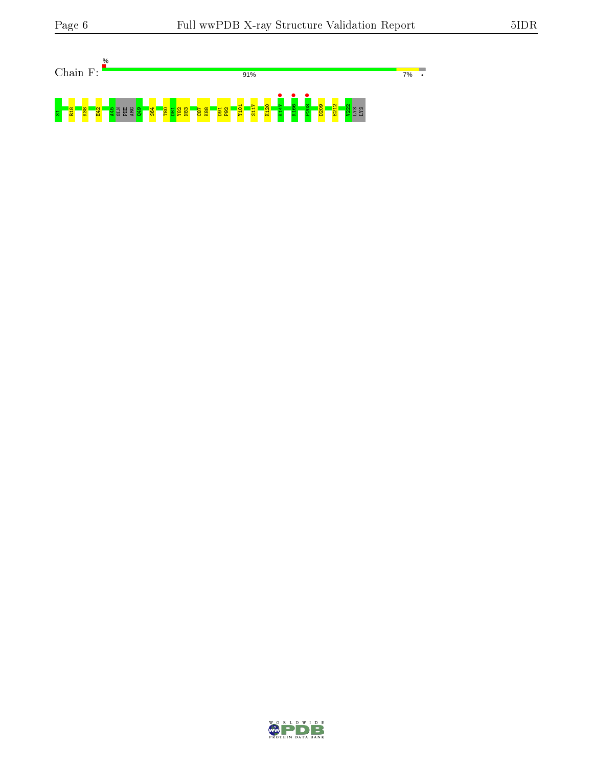

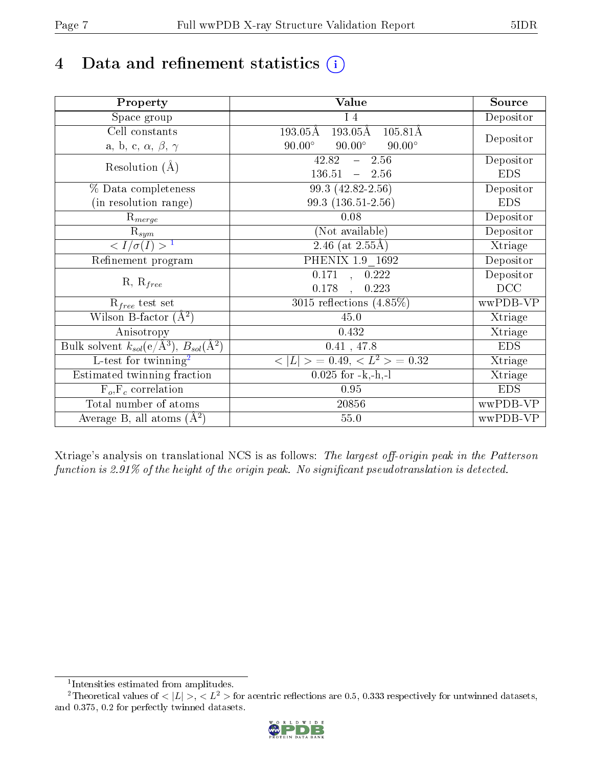# 4 Data and refinement statistics  $(i)$

| Property                                                             | Value                                                       | Source     |
|----------------------------------------------------------------------|-------------------------------------------------------------|------------|
| Space group                                                          | $I_4$                                                       | Depositor  |
| Cell constants                                                       | $193.05\rm \AA$<br>$193.05\text{\AA}$<br>$105.81\text{\AA}$ |            |
| a, b, c, $\alpha$ , $\beta$ , $\gamma$                               | $90.00^\circ$<br>$90.00^\circ$<br>$90.00^\circ$             | Depositor  |
| Resolution $(A)$                                                     | 42.82<br>$-2.56$                                            | Depositor  |
|                                                                      | $136.51 - 2.56$                                             | <b>EDS</b> |
| % Data completeness                                                  | 99.3 (42.82-2.56)                                           | Depositor  |
| (in resolution range)                                                | $99.3(136.51-2.56)$                                         | <b>EDS</b> |
| $R_{merge}$                                                          | 0.08                                                        | Depositor  |
| $\mathrm{R}_{sym}$                                                   | (Not available)                                             | Depositor  |
| $\overline{^1$                                                       | 2.46 (at $2.55\text{\AA}$ )                                 | Xtriage    |
| Refinement program                                                   | PHENIX 1.9 1692                                             | Depositor  |
|                                                                      | 0.171, 0.222                                                | Depositor  |
| $R, R_{free}$                                                        | 0.178<br>0.223<br>$\mathcal{L}$                             | DCC        |
| $\mathcal{R}_{free}$ test set                                        | 3015 reflections $(4.85\%)$                                 | wwPDB-VP   |
| Wilson B-factor $(A^2)$                                              | 45.0                                                        | Xtriage    |
| Anisotropy                                                           | 0.432                                                       | Xtriage    |
| Bulk solvent $k_{sol}(e/\mathring{A}^3)$ , $B_{sol}(\mathring{A}^2)$ | 0.41, 47.8                                                  | <b>EDS</b> |
| L-test for twinning <sup>2</sup>                                     | $< L >$ = 0.49, $< L2$ > = 0.32                             | Xtriage    |
| Estimated twinning fraction                                          | $0.025$ for $-k,-h,-l$                                      | Xtriage    |
| $F_o, F_c$ correlation                                               | 0.95                                                        | <b>EDS</b> |
| Total number of atoms                                                | 20856                                                       | wwPDB-VP   |
| Average B, all atoms $(A^2)$                                         | 55.0                                                        | wwPDB-VP   |

Xtriage's analysis on translational NCS is as follows: The largest off-origin peak in the Patterson function is  $2.91\%$  of the height of the origin peak. No significant pseudotranslation is detected.

<sup>&</sup>lt;sup>2</sup>Theoretical values of  $\langle |L| \rangle$ ,  $\langle L^2 \rangle$  for acentric reflections are 0.5, 0.333 respectively for untwinned datasets, and 0.375, 0.2 for perfectly twinned datasets.



<span id="page-6-1"></span><span id="page-6-0"></span><sup>1</sup> Intensities estimated from amplitudes.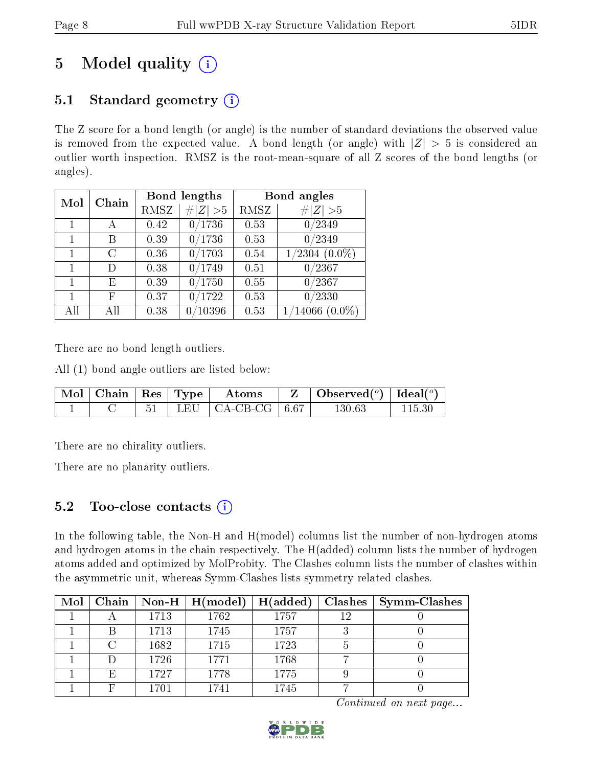# 5 Model quality  $(i)$

### 5.1 Standard geometry  $(i)$

The Z score for a bond length (or angle) is the number of standard deviations the observed value is removed from the expected value. A bond length (or angle) with  $|Z| > 5$  is considered an outlier worth inspection. RMSZ is the root-mean-square of all Z scores of the bond lengths (or angles).

| Mol | Chain |      | Bond lengths          | Bond angles |                  |  |
|-----|-------|------|-----------------------|-------------|------------------|--|
|     |       | RMSZ | Z   > 5               | RMSZ        | # $ Z  > 5$      |  |
|     |       | 0.42 | 0/1736                | 0.53        | 0/2349           |  |
|     | В     | 0.39 | 0/1736                | 0.53        | 0/2349           |  |
|     | C     | 0.36 | 0/1703                | 0.54        | $1/2304~(0.0\%)$ |  |
| 1   | D)    | 0.38 | 0/1749                | 0.51        | 0/2367           |  |
| 1   | E     | 0.39 | 0/1750                | 0.55        | 0/2367           |  |
|     | F     | 0.37 | $\langle 1722\rangle$ | 0.53        | 0/2330           |  |
| All | All   | 0.38 | 10396                 | 0.53        | $1/14066(0.0\%)$ |  |

There are no bond length outliers.

All (1) bond angle outliers are listed below:

| Mol   Chain   Res   Type |  | $\rm~Atons$             | Observed $(^\circ)$   Ideal $(^\circ)$ |            |
|--------------------------|--|-------------------------|----------------------------------------|------------|
|                          |  | LEU   CA-CB-CG   $6.67$ | 130.63                                 | $115.30\,$ |

There are no chirality outliers.

There are no planarity outliers.

### 5.2 Too-close contacts  $(i)$

In the following table, the Non-H and H(model) columns list the number of non-hydrogen atoms and hydrogen atoms in the chain respectively. The H(added) column lists the number of hydrogen atoms added and optimized by MolProbity. The Clashes column lists the number of clashes within the asymmetric unit, whereas Symm-Clashes lists symmetry related clashes.

| Mol |        |      | Chain   Non-H   $H (model)$ | H(added) | Clashes | <b>Symm-Clashes</b> |
|-----|--------|------|-----------------------------|----------|---------|---------------------|
|     |        | 1713 | 1762                        | 1757     | 12      |                     |
|     |        | 1713 | 1745                        | 1757     |         |                     |
|     |        | 1682 | 1715                        | 1723     |         |                     |
|     | $\Box$ | 1726 | 1771                        | 1768     |         |                     |
|     | E)     | 1727 | 1778                        | 1775     |         |                     |
|     |        | 1701 | 1741                        | 1745     |         |                     |

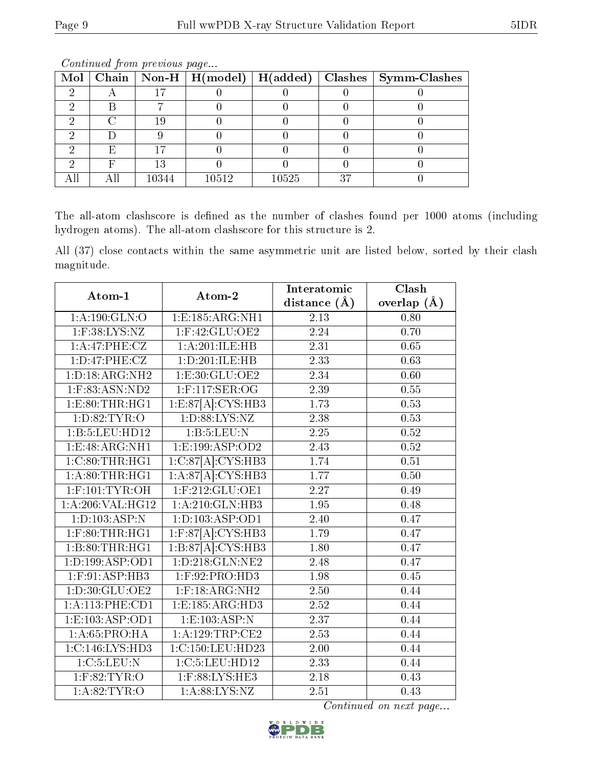|  |       |       |       |    | Mol   Chain   Non-H   $H(model)$   $H(added)$   Clashes   Symm-Clashes |
|--|-------|-------|-------|----|------------------------------------------------------------------------|
|  |       |       |       |    |                                                                        |
|  |       |       |       |    |                                                                        |
|  |       |       |       |    |                                                                        |
|  |       |       |       |    |                                                                        |
|  |       |       |       |    |                                                                        |
|  | 13    |       |       |    |                                                                        |
|  | 10344 | 10512 | 10525 | 37 |                                                                        |

Continued from previous page...

The all-atom clashscore is defined as the number of clashes found per 1000 atoms (including hydrogen atoms). The all-atom clashscore for this structure is 2.

All (37) close contacts within the same asymmetric unit are listed below, sorted by their clash magnitude.

| Atom-1                  | Atom-2                          | Interatomic       | Clash             |
|-------------------------|---------------------------------|-------------------|-------------------|
|                         |                                 | distance $(\AA)$  | overlap $(\AA)$   |
| $1:$ A:190:GLN:O        | 1:E:185:ARG:NH1                 | 2.13              | 0.80              |
| $1:$ F:38:LYS:NZ        | $1:$ F:42:GLU:OE2               | 2.24              | 0.70              |
| 1:A:47:PHE:CZ           | 1:A:201:ILE:HB                  | $\overline{2.31}$ | 0.65              |
| 1: D: 47: PHE: CZ       | 1:D:201:ILE:HB                  | 2.33              | 0.63              |
| 1: D: 18: ARG: NH2      | 1: E: 30: GLU: OE2              | $\overline{2.34}$ | $\overline{0.60}$ |
| 1:F:83:ASN:ND2          | 1:F:117:SER:OG                  | 2.39              | 0.55              |
| 1: E: 80: THR: HG1      | 1:ES7[A]:CYS:HB3                | 1.73              | 0.53              |
| 1: D:82: TYR:O          | 1: D: 88: LYS: NZ               | 2.38              | 0.53              |
| 1:B:5:LEU:HD12          | 1:B:5:LEU:N                     | $2.25\,$          | 0.52              |
| 1:E:48:ARG:NH1          | 1:E:199:ASP:OD2                 | 2.43              | 0.52              |
| 1:C:80:THR:HGI          | 1:C:87[A]:CYS:HB3               | 1.74              | 0.51              |
| 1: A:80:THR:HG1         | $1:A.87[A]$ : CYS: HB3          | 1.77              | 0.50              |
| $1:$ F:101:TYR:OH       | $1:$ F:212:GLU:OE1              | 2.27              | 0.49              |
| 1: A:206: VAL:HG12      | 1:A:210:GLN:HB3                 | 1.95              | 0.48              |
| 1: D: 103: ASP:N        | 1: D: 103: ASP: OD1             | 2.40              | 0.47              |
| $1:$ $F:80:$ THR: $HG1$ | $1:$ F:87[A]: $CYS:$ HB3        | 1.79              | 0.47              |
| 1:B:80:THR:HGI          | 1:B:87[A]:CYS:HB3               | 1.80              | 0.47              |
| 1: D: 199: ASP: OD1     | 1: D: 218: GLN: NE2             | 2.48              | 0.47              |
| $1:$ F:91:ASP:HB3       | 1:F:92:PRO:HD3                  | 1.98              | 0.45              |
| 1: D:30: GLU:OE2        | $1:$ F:18:AR $\overline{G:NH2}$ | 2.50              | 0.44              |
| 1:A:113:PHE:CD1         | 1: E: 185: ARG: HD3             | $\overline{2.52}$ | 0.44              |
| 1: E: 103: ASP: OD1     | 1: E: 103: ASP: N               | $\overline{2.37}$ | 0.44              |
| 1:A:65:PRO:HA           | 1: A: 129: TRP: CE2             | 2.53              | 0.44              |
| 1: C: 146: LYS: HD3     | 1:C:150:LEU:HD23                | 2.00              | 0.44              |
| 1:C:5:LEU:N             | 1:C:5:LEU:HD12                  | 2.33              | 0.44              |
| $1:$ F:82:TYR:O         | 1:F:88:LYS:HE3                  | 2.18              | 0.43              |
| 1: A:82:TYR:O           | 1: A:88: LYS: NZ                | 2.51              | 0.43              |

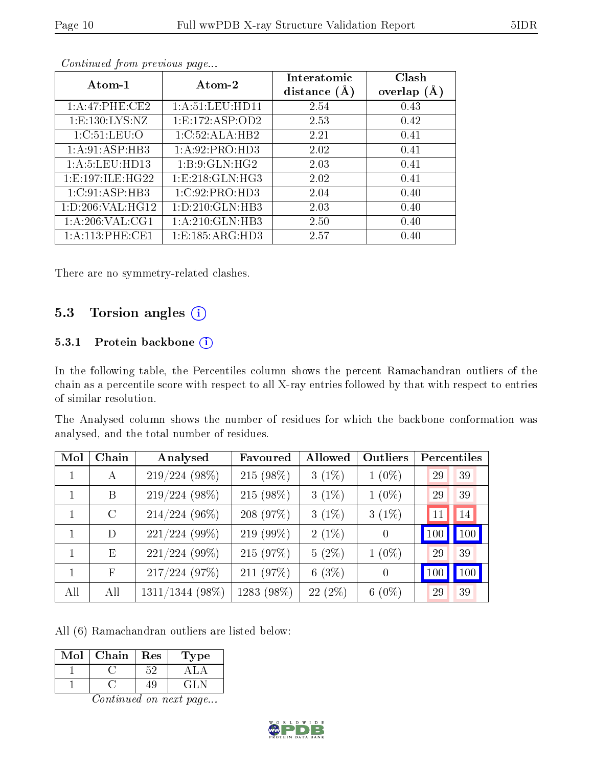| Atom-1                         | Atom-2              | Interatomic<br>distance $(A)$ | Clash<br>overlap $(A)$ |
|--------------------------------|---------------------|-------------------------------|------------------------|
| 1: A:47:PHE:CE2                | 1: A:51:LEV:HD11    | 2.54                          | 0.43                   |
| 1: E: 130: LYS: NZ             | 1: E: 172: ASP: OD2 | 2.53                          | 0.42                   |
| 1: C:51: LEU:O                 | 1:C:52:ALA:HB2      | 2.21                          | 0.41                   |
| 1: A:91: ASP:HB3               | 1: A:92: PRO:HD3    | 2.02                          | 0.41                   |
| 1: A: 5: LEU: HD13             | 1: B: 9: GLN: HG2   | 2.03                          | 0.41                   |
| 1: E: 197: ILE: HG22           | 1: E: 218: GLN: HG3 | 2.02                          | 0.41                   |
| 1:C:91:ASP:HB3                 | 1:C:92:PRO:HD3      | 2.04                          | 0.40                   |
| 1: D: 206: VAL:HG12            | 1: D: 210: GLN: HB3 | 2.03                          | 0.40                   |
| 1: A:206: VAL: C <sub>G1</sub> | 1:A:210:GLN:HB3     | 2.50                          | 0.40                   |
| 1: A:113: PHE:CE1              | 1: E: 185: ARG: HD3 | 2.57                          | 0.40                   |

Continued from previous page...

There are no symmetry-related clashes.

### 5.3 Torsion angles (i)

#### 5.3.1 Protein backbone (i)

In the following table, the Percentiles column shows the percent Ramachandran outliers of the chain as a percentile score with respect to all X-ray entries followed by that with respect to entries of similar resolution.

The Analysed column shows the number of residues for which the backbone conformation was analysed, and the total number of residues.

| Mol | Chain        | Analysed          | Favoured    | Allowed   | Outliers       | Percentiles |     |
|-----|--------------|-------------------|-------------|-----------|----------------|-------------|-----|
|     | $\mathbf{A}$ | $219/224(98\%)$   | $215(98\%)$ | $3(1\%)$  | $1(0\%)$       | 29          | 39  |
|     | B            | $219/224(98\%)$   | $215(98\%)$ | $3(1\%)$  | $1(0\%)$       | 29          | 39  |
|     | $\rm C$      | $214/224$ (96%)   | 208 (97%)   | $3(1\%)$  | $3(1\%)$       | 11          | 14  |
| 1   | D            | $221/224(99\%)$   | $219(99\%)$ | $2(1\%)$  | $\theta$       | 100         | 100 |
| 1   | E            | $221/224(99\%)$   | 215 (97%)   | $5(2\%)$  | $1(0\%)$       | 29          | 39  |
| 1   | F            | 217/224(97%)      | 211 (97%)   | 6 $(3%)$  | $\overline{0}$ | 100         | 100 |
| All | All          | $1311/1344$ (98%) | 1283 (98%)  | $22(2\%)$ | $6(0\%)$       | 29          | 39  |

All (6) Ramachandran outliers are listed below:

| Mol | Chain | Res | ype |
|-----|-------|-----|-----|
|     |       |     |     |
|     |       |     |     |

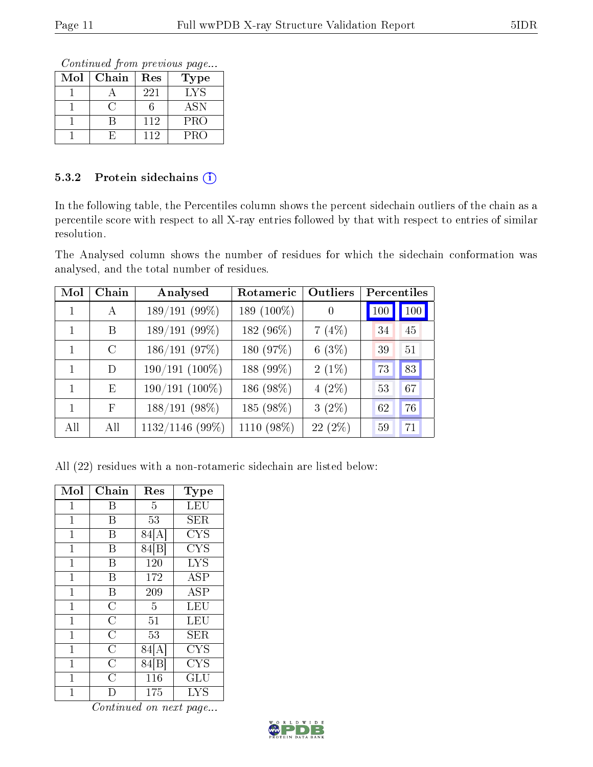Continued from previous page...

| Mol | Chain | Res | Type       |
|-----|-------|-----|------------|
|     |       | 221 | LYS        |
|     |       |     | <b>ASN</b> |
|     |       | 112 | <b>PRO</b> |
|     |       | 112 | <b>PRO</b> |

#### 5.3.2 Protein sidechains (i)

In the following table, the Percentiles column shows the percent sidechain outliers of the chain as a percentile score with respect to all X-ray entries followed by that with respect to entries of similar resolution.

The Analysed column shows the number of residues for which the sidechain conformation was analysed, and the total number of residues.

| Mol | Chain        | Analysed        | Rotameric  | Outliers | Percentiles |     |
|-----|--------------|-----------------|------------|----------|-------------|-----|
|     | $\mathsf{A}$ | 189/191 (99%)   | 189 (100%) | 0        | 100         | 100 |
|     | В            | 189/191 (99%)   | 182 (96%)  | 7(4%)    | 34          | 45  |
|     | $\Gamma$     | 186/191 (97%)   | 180 (97%)  | $6(3\%)$ | 39          | 51  |
| 1   | D            | 190/191 (100%)  | 188 (99%)  | $2(1\%)$ | 73          | 83  |
|     | E            | 190/191 (100%)  | 186 (98%)  | $4(2\%)$ | 53          | 67  |
| 1   | F            | $188/191(98\%)$ | 185 (98%)  | $3(2\%)$ | 62          | 76  |
| All | All          | 1132/1146 (99%) | 1110 (98%) | 22(2%)   | 59          | 71  |

All (22) residues with a non-rotameric sidechain are listed below:

| Mol            | Chain              | Res               | Type                 |
|----------------|--------------------|-------------------|----------------------|
| $\mathbf{1}$   | В                  | 5                 | LEU                  |
| $\overline{1}$ | Β                  | 53                | <b>SER</b>           |
| $\mathbf{1}$   | В                  | 84[A]             | CYS                  |
| $\overline{1}$ | B                  | 84 <sup>[B]</sup> | <b>CYS</b>           |
| $\mathbf 1$    | B                  | 120               | <b>LYS</b>           |
| $\mathbf{1}$   | В                  | 172               | ĀSP                  |
| $\mathbf 1$    | Β                  | 209               | <b>ASP</b>           |
| $\mathbf 1$    | $\overline{C}$     | 5                 | LEU                  |
| $\mathbf 1$    | $\overline{\rm C}$ | 51                | LEU                  |
| $\mathbf 1$    | $\overline{C}$     | 53                | SER                  |
| $\mathbf{1}$   | $\overline{C}$     | 84[A]             | <b>CYS</b>           |
| $\overline{1}$ | $\overline{\rm C}$ | 84 [B]            | <b>CYS</b>           |
| 1              | $\overline{C}$     | 116               | $\operatorname{GLU}$ |
| 1              |                    | 175               | <b>LYS</b>           |

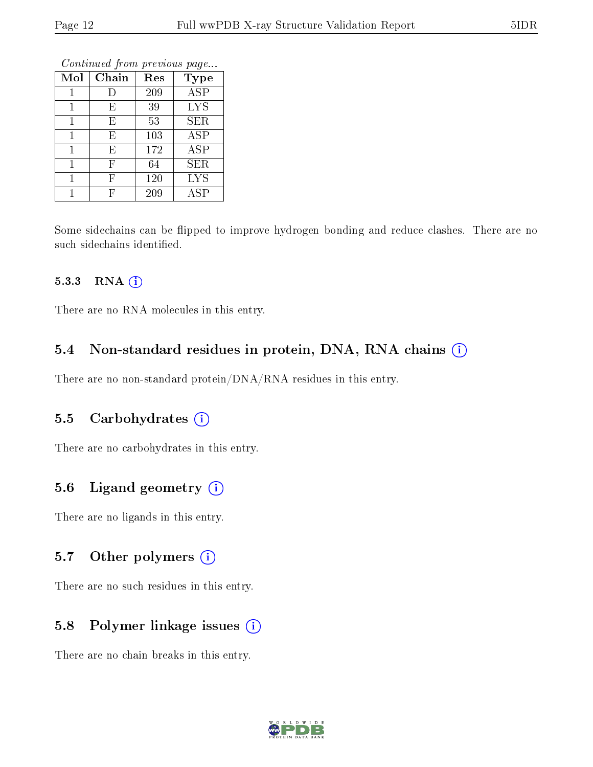|     | оонынаса јют ртоново раде |     |            |  |  |  |  |
|-----|---------------------------|-----|------------|--|--|--|--|
| Mol | Chain                     | Res | Type       |  |  |  |  |
| 1   | I)                        | 209 | <b>ASP</b> |  |  |  |  |
| 1   | Ε                         | 39  | <b>LYS</b> |  |  |  |  |
| 1   | Ε                         | 53  | <b>SER</b> |  |  |  |  |
| 1   | E                         | 103 | <b>ASP</b> |  |  |  |  |
| 1   | E                         | 172 | <b>ASP</b> |  |  |  |  |
| 1   | F                         | 64  | <b>SER</b> |  |  |  |  |
| 1   | F                         | 120 | <b>LYS</b> |  |  |  |  |
|     | F                         | 209 | ASP        |  |  |  |  |

Continued from previous page.

Some sidechains can be flipped to improve hydrogen bonding and reduce clashes. There are no such sidechains identified.

#### 5.3.3 RNA (1)

There are no RNA molecules in this entry.

#### 5.4 Non-standard residues in protein, DNA, RNA chains (i)

There are no non-standard protein/DNA/RNA residues in this entry.

#### 5.5 Carbohydrates (i)

There are no carbohydrates in this entry.

#### 5.6 Ligand geometry (i)

There are no ligands in this entry.

#### 5.7 [O](https://www.wwpdb.org/validation/2017/XrayValidationReportHelp#nonstandard_residues_and_ligands)ther polymers (i)

There are no such residues in this entry.

#### 5.8 Polymer linkage issues (i)

There are no chain breaks in this entry.

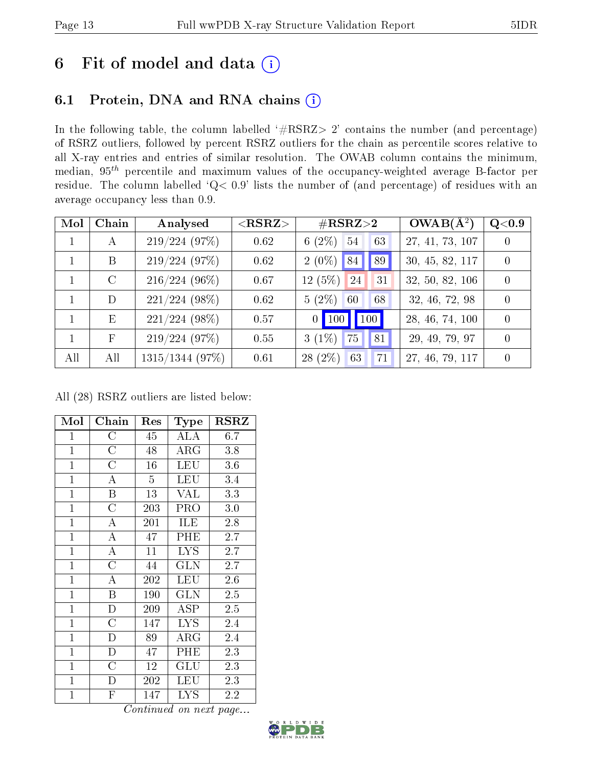### 6 Fit of model and data  $(i)$

### 6.1 Protein, DNA and RNA chains  $(i)$

In the following table, the column labelled  $#RSRZ> 2'$  contains the number (and percentage) of RSRZ outliers, followed by percent RSRZ outliers for the chain as percentile scores relative to all X-ray entries and entries of similar resolution. The OWAB column contains the minimum, median,  $95<sup>th</sup>$  percentile and maximum values of the occupancy-weighted average B-factor per residue. The column labelled ' $Q< 0.9$ ' lists the number of (and percentage) of residues with an average occupancy less than 0.9.

| Mol         | Chain         | Analysed        | ${ <\hspace{-1.5pt}{\mathrm{RSRZ}} \hspace{-1.5pt}>}$ | $\#\text{RSRZ}{>}2$              | $OWAB(\overline{A^2})$ | Q <sub>0.9</sub> |
|-------------|---------------|-----------------|-------------------------------------------------------|----------------------------------|------------------------|------------------|
| $\mathbf 1$ | A             | 219/224(97%)    | 0.62                                                  | 6 $(2\%)$<br>54<br>63            | 27, 41, 73, 107        | $\theta$         |
|             | B             | 219/224(97%)    | 0.62                                                  | $2(0\%)$ 84<br>89                | 30, 45, 82, 117        | $\Omega$         |
|             | $\mathcal{C}$ | $216/224(96\%)$ | 0.67                                                  | $12(5\%)$<br><sup>24</sup><br>31 | 32, 50, 82, 106        | $\Omega$         |
|             | D             | $221/224$ (98%) | 0.62                                                  | $5(2\%)$<br>68<br>60             | 32, 46, 72, 98         | $\Omega$         |
|             | E             | $221/224$ (98%) | 0.57                                                  | 100<br>$0$ 100                   | 28, 46, 74, 100        | $\theta$         |
|             | $\mathbf F$   | 219/224(97%)    | 0.55                                                  | $3(1\%)$<br>75<br>81             | 29, 49, 79, 97         | $\theta$         |
| All         | All           | 1315/1344 (97%) | 0.61                                                  | $28(2\%)$<br>71<br>63            | 27, 46, 79, 117        | $\theta$         |

All (28) RSRZ outliers are listed below:

| Mol            | Chain                   | Res            | Type                       | <b>RSRZ</b> |
|----------------|-------------------------|----------------|----------------------------|-------------|
| $\overline{1}$ | $\rm{C}$                | 45             | ALA                        | 6.7         |
| $\mathbf{1}$   | $\overline{C}$          | 48             | $\rm{ARG}$                 | 3.8         |
| $\mathbf{1}$   | $\overline{C}$          | 16             | <b>LEU</b>                 | 3.6         |
| $\overline{1}$ | A                       | $\overline{5}$ | LEU                        | 3.4         |
| $\mathbf{1}$   | B                       | 13             | VAL                        | 3.3         |
| $\overline{1}$ | $\overline{C}$          | 203            | PRO                        | $3.0\,$     |
| $\overline{1}$ | $\overline{\rm A}$      | 201            | ILE                        | 2.8         |
| $\mathbf{1}$   | $\overline{\rm A}$      | 47             | PHE                        | 2.7         |
| $\mathbf{1}$   | $\overline{\rm A}$      | 11             | <b>LYS</b>                 | 2.7         |
| $\mathbf{1}$   | $\overline{\rm C}$      | 44             | GLN                        | 2.7         |
| $\mathbf{1}$   | A                       | 202            | <b>LEU</b>                 | 2.6         |
| $\overline{1}$ | B                       | 190            | GLN                        | 2.5         |
| $\overline{1}$ | $\overline{D}$          | 209            | ASP                        | 2.5         |
| $\mathbf{1}$   | $\overline{C}$          | 147            | <b>LYS</b>                 | 2.4         |
| $\mathbf{1}$   | $\overline{\rm D}$      | 89             | $\overline{\rm{A}}\rm{RG}$ | 2.4         |
| $\mathbf{1}$   | $\mathbf D$             | 47             | PHE                        | 2.3         |
| $\mathbf{1}$   | $\overline{\rm C}$      | 12             | GLU                        | 2.3         |
| $\mathbf{1}$   | D                       | 202            | LEU                        | 2.3         |
| $\mathbf{1}$   | $\overline{\mathrm{F}}$ | 147            | <b>LYS</b>                 | 2.2         |